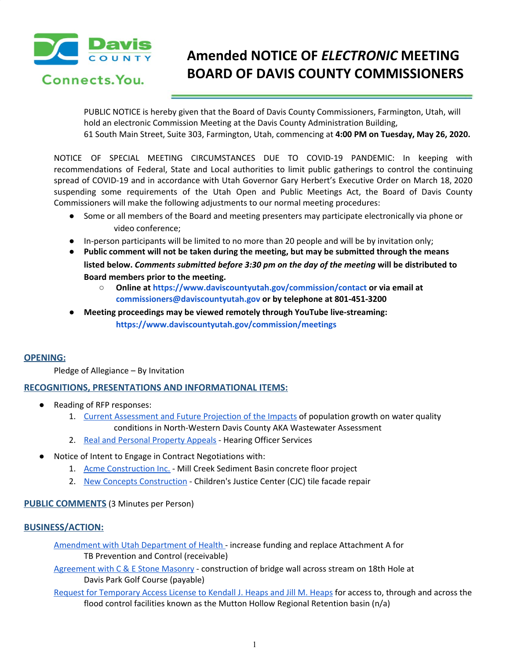

Connects. You.

# **Amended NOTICE OF** *ELECTRONIC* **MEETING BOARD OF DAVIS COUNTY COMMISSIONERS**

PUBLIC NOTICE is hereby given that the Board of Davis County Commissioners, Farmington, Utah, will hold an electronic Commission Meeting at the Davis County Administration Building, 61 South Main Street, Suite 303, Farmington, Utah, commencing at **4:00 PM on Tuesday, May 26, 2020.**

NOTICE OF SPECIAL MEETING CIRCUMSTANCES DUE TO COVID-19 PANDEMIC: In keeping with recommendations of Federal, State and Local authorities to limit public gatherings to control the continuing spread of COVID-19 and in accordance with Utah Governor Gary Herbert's Executive Order on March 18, 2020 suspending some requirements of the Utah Open and Public Meetings Act, the Board of Davis County Commissioners will make the following adjustments to our normal meeting procedures:

- Some or all members of the Board and meeting presenters may participate electronically via phone or video conference;
- In-person participants will be limited to no more than 20 people and will be by invitation only;
- **● Public comment will not be taken during the meeting, but may be submitted through the means listed below.** *Comments submitted before 3:30 pm on the day of the meeting* **will be distributed to Board members prior to the meeting.**
	- **○ Online at https://www.daviscountyutah.gov/commission/contact or via email at commissioners@daviscountyutah.gov or by telephone at 801-451-3200**
- **● Meeting proceedings may be viewed remotely through YouTube live-streaming: https://www.daviscountyutah.gov/commission/meetings**

## **OPENING:**

Pledge of Allegiance – By Invitation

# **RECOGNITIONS, PRESENTATIONS AND INFORMATIONAL ITEMS:**

- Reading of RFP responses:
	- 1. Current [Assessment](https://drive.google.com/file/d/1QXk3epphErgkzkNEszcUW07eGvjrWuEc/view?usp=drivesdk) and Future Projection of the Impacts of population growth on water quality conditions in North-Western Davis County AKA Wastewater Assessment
	- 2. Real and Personal [Property](https://drive.google.com/file/d/1DxvgIbBxf6jhvzEXgL7oJKqJnrWjNrlj/view?usp=drivesdk) Appeals Hearing Officer Services
- Notice of Intent to Engage in Contract Negotiations with:
	- 1. Acme [Construction](https://drive.google.com/file/d/1MP0Un4lGylUkhKqzAQW38wC2-Ocfq2X2/view?usp=drivesdk) Inc. Mill Creek Sedimen[t](https://drive.google.com/file/d/1MP0Un4lGylUkhKqzAQW38wC2-Ocfq2X2/view?usp=drivesdk) Basin concrete floor project
	- 2. New Concepts [Construction](https://drive.google.com/file/d/1H0vOmsR9K26WMWHVBbkyTdUGIdc-UOSC/view?usp=drivesdk) Children's Justice Center (CJC) tile facade repair

# **PUBLIC COMMENTS** (3 Minutes per Person)

## **BUSINESS/ACTION:**

- [Amendment](https://drive.google.com/file/d/1sKiQ-CJsl62hJ3ZkedHmxkwLIqOlk5Uu/view?usp=drivesdk) with Utah Department of Health increase funding and replace Attachment A for TB Prevention and Control (receivable)
- [Agreement](https://drive.google.com/file/d/1cWzDGzzW5Y1sku4G1_MmhGaSHs-sItHp/view?usp=drivesdk) with C & E Stone Masonry construction of bridge wall across stream on 18th Hole at Davis Park Golf Course (payable)
- Request for [Temporary](https://drive.google.com/file/d/1G4YugbDnIAYjHeSoxIQScV_y_VH8PpHP/view?usp=drivesdk) Access License to Kendall J. Heaps and Jill M. Heaps for access to, through and across the flood control facilities known as the Mutton Hollow Regional Retention basin (n/a)